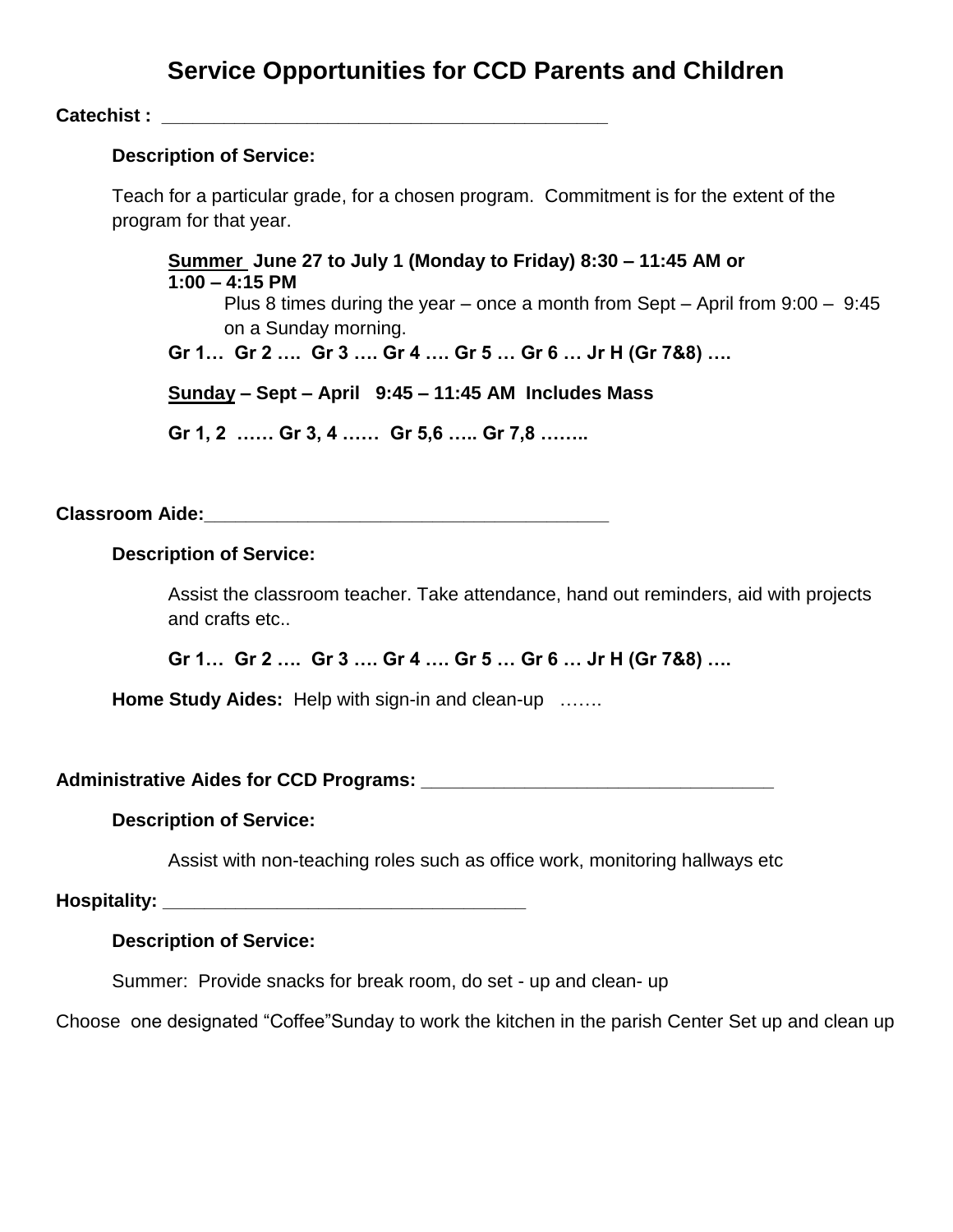# **Service Opportunities for CCD Parents and Children**

**Catechist : Catechist : Catechist** : **Categories :** 

#### **Description of Service:**

Teach for a particular grade, for a chosen program. Commitment is for the extent of the program for that year.

**Summer June 27 to July 1 (Monday to Friday) 8:30 – 11:45 AM or 1:00 – 4:15 PM** Plus 8 times during the year – once a month from Sept – April from 9:00 – 9:45 on a Sunday morning. **Gr 1… Gr 2 …. Gr 3 …. Gr 4 …. Gr 5 … Gr 6 … Jr H (Gr 7&8) ….**

**Sunday – Sept – April 9:45 – 11:45 AM Includes Mass**

**Gr 1, 2 …… Gr 3, 4 …… Gr 5,6 ….. Gr 7,8 ……..**

**Classroom Aide: Classroom Aide:** 

#### **Description of Service:**

Assist the classroom teacher. Take attendance, hand out reminders, aid with projects and crafts etc..

**Gr 1… Gr 2 …. Gr 3 …. Gr 4 …. Gr 5 … Gr 6 … Jr H (Gr 7&8) ….**

**Home Study Aides:** Help with sign-in and clean-up …….

Administrative Aides for CCD Programs:

#### **Description of Service:**

Assist with non-teaching roles such as office work, monitoring hallways etc

**Hospitality: \_\_\_\_\_\_\_\_\_\_\_\_\_\_\_\_\_\_\_\_\_\_\_\_\_\_\_\_\_\_\_\_\_\_\_**

## **Description of Service:**

Summer: Provide snacks for break room, do set - up and clean- up

Choose one designated "Coffee"Sunday to work the kitchen in the parish Center Set up and clean up